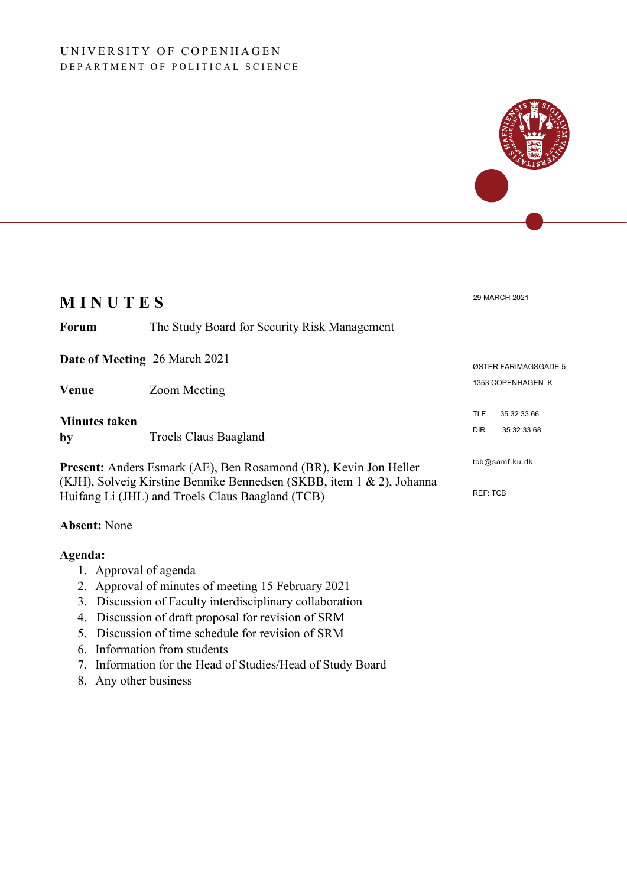### UNIVERSITY OF COPENHAGEN DEPARTMENT OF POLITICAL SCIENCE



### **Absent:** None

#### **Agenda:**

- 1. Approval of agenda
- 2. Approval of minutes of meeting 15 February 2021
- 3. Discussion of Faculty interdisciplinary collaboration
- 4. Discussion of draft proposal for revision of SRM
- 5. Discussion of time schedule for revision of SRM
- 6. Information from students
- 7. Information for the Head of Studies/Head of Study Board
- 8. Any other business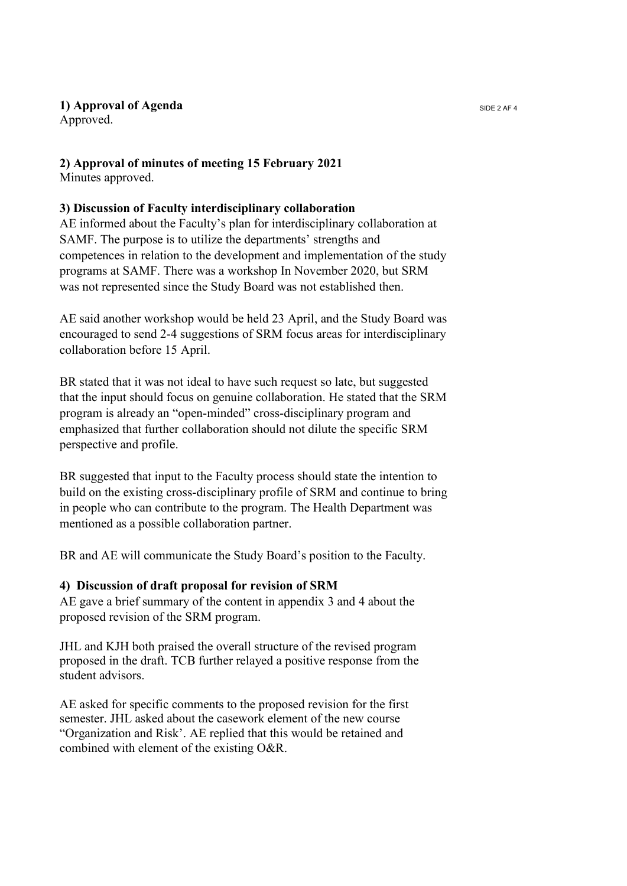## **1) Approval of Agenda** SIDE 2 AF 4

Approved.

# **2) Approval of minutes of meeting 15 February 2021**

Minutes approved.

## **3) Discussion of Faculty interdisciplinary collaboration**

AE informed about the Faculty's plan for interdisciplinary collaboration at SAMF. The purpose is to utilize the departments' strengths and competences in relation to the development and implementation of the study programs at SAMF. There was a workshop In November 2020, but SRM was not represented since the Study Board was not established then.

AE said another workshop would be held 23 April, and the Study Board was encouraged to send 2-4 suggestions of SRM focus areas for interdisciplinary collaboration before 15 April.

BR stated that it was not ideal to have such request so late, but suggested that the input should focus on genuine collaboration. He stated that the SRM program is already an "open-minded" cross-disciplinary program and emphasized that further collaboration should not dilute the specific SRM perspective and profile.

BR suggested that input to the Faculty process should state the intention to build on the existing cross-disciplinary profile of SRM and continue to bring in people who can contribute to the program. The Health Department was mentioned as a possible collaboration partner.

BR and AE will communicate the Study Board's position to the Faculty.

# **4) Discussion of draft proposal for revision of SRM**

AE gave a brief summary of the content in appendix 3 and 4 about the proposed revision of the SRM program.

JHL and KJH both praised the overall structure of the revised program proposed in the draft. TCB further relayed a positive response from the student advisors.

AE asked for specific comments to the proposed revision for the first semester. JHL asked about the casework element of the new course "Organization and Risk'. AE replied that this would be retained and combined with element of the existing O&R.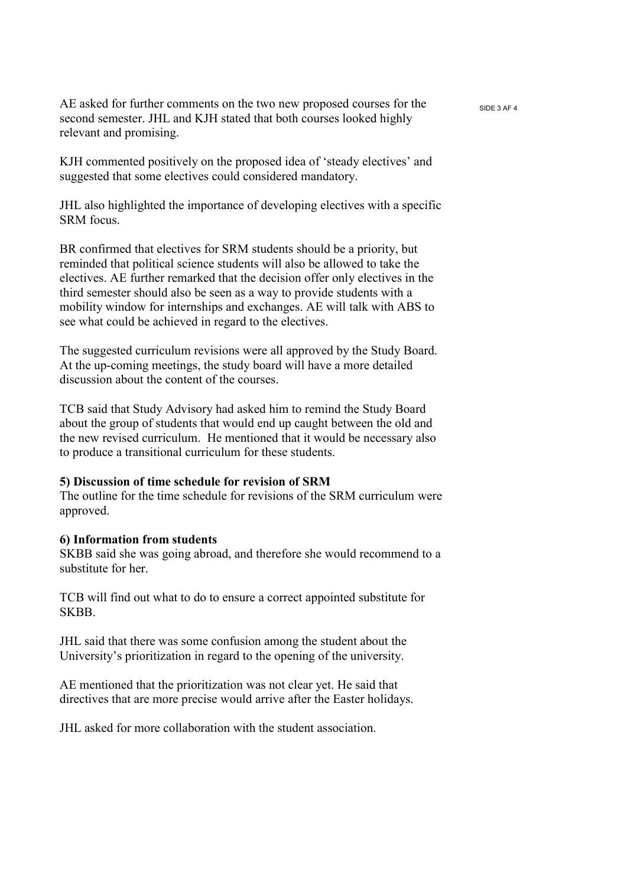AE asked for further comments on the two new proposed courses for the  $_{SIDE 3 AF 4}$ second semester. JHL and KJH stated that both courses looked highly relevant and promising.

KJH commented positively on the proposed idea of 'steady electives' and suggested that some electives could considered mandatory.

JHL also highlighted the importance of developing electives with a specific SRM focus.

BR confirmed that electives for SRM students should be a priority, but reminded that political science students will also be allowed to take the electives. AE further remarked that the decision offer only electives in the third semester should also be seen as a way to provide students with a mobility window for internships and exchanges. AE will talk with ABS to see what could be achieved in regard to the electives.

The suggested curriculum revisions were all approved by the Study Board. At the up-coming meetings, the study board will have a more detailed discussion about the content of the courses.

TCB said that Study Advisory had asked him to remind the Study Board about the group of students that would end up caught between the old and the new revised curriculum. He mentioned that it would be necessary also to produce a transitional curriculum for these students.

#### **5) Discussion of time schedule for revision of SRM**

The outline for the time schedule for revisions of the SRM curriculum were approved.

#### **6) Information from students**

SKBB said she was going abroad, and therefore she would recommend to a substitute for her.

TCB will find out what to do to ensure a correct appointed substitute for SKBB.

JHL said that there was some confusion among the student about the University's prioritization in regard to the opening of the university.

AE mentioned that the prioritization was not clear yet. He said that directives that are more precise would arrive after the Easter holidays.

JHL asked for more collaboration with the student association.